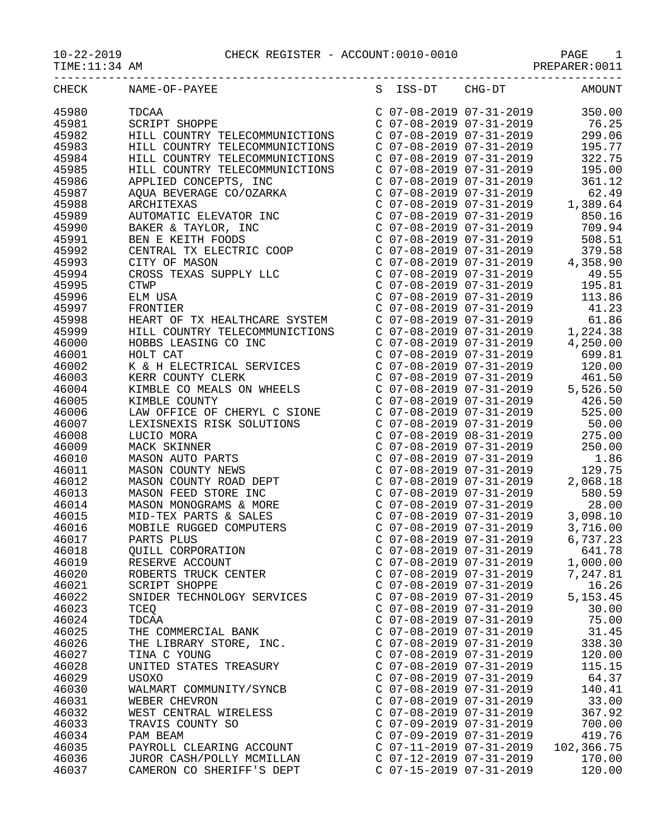## 10-22-2019 CHECK REGISTER - ACCOUNT:0010-0010 PAGE 1

PREPARER:0011

| CHECK | NAME-OF-PAYEE                                                                                                                                                                                                    | S ISS-DT CHG-DT                                    | <b>AMOUNT</b>                                                                                                                                                                                                                                         |
|-------|------------------------------------------------------------------------------------------------------------------------------------------------------------------------------------------------------------------|----------------------------------------------------|-------------------------------------------------------------------------------------------------------------------------------------------------------------------------------------------------------------------------------------------------------|
| 45980 | TDCAA                                                                                                                                                                                                            | C 07-08-2019 07-31-2019                            | 350.00                                                                                                                                                                                                                                                |
| 45981 | SCRIPT SHOPPE                                                                                                                                                                                                    |                                                    | 76.25                                                                                                                                                                                                                                                 |
| 45982 | HILL COUNTRY TELECOMMUNICTIONS                                                                                                                                                                                   | C 07-08-2019 07-31-2019<br>C 07-08-2019 07-31-2019 | 299.06                                                                                                                                                                                                                                                |
| 45983 | HILL COUNTRY TELECOMMUNICTIONS                                                                                                                                                                                   | $C$ 07-08-2019 07-31-2019                          | 195.77                                                                                                                                                                                                                                                |
| 45984 | HILL COUNTRY TELECOMMUNICTIONS                                                                                                                                                                                   | C 07-08-2019 07-31-2019                            | 322.75                                                                                                                                                                                                                                                |
| 45985 | HILL COUNTRY TELECOMMUNICTIONS C 07-08-2019 07-31-2019                                                                                                                                                           |                                                    | 195.00                                                                                                                                                                                                                                                |
| 45986 |                                                                                                                                                                                                                  |                                                    |                                                                                                                                                                                                                                                       |
| 45987 |                                                                                                                                                                                                                  |                                                    | $\begin{array}{llllll} \mbox{C} & 07-08-2019 & 07-31-2019 & 361.12 \\ \mbox{C} & 07-08-2019 & 07-31-2019 & 62.49 \\ \mbox{C} & 07-08-2019 & 07-31-2019 & 1,389.64 \end{array}$                                                                        |
| 45988 |                                                                                                                                                                                                                  |                                                    |                                                                                                                                                                                                                                                       |
| 45989 |                                                                                                                                                                                                                  |                                                    | $C$ 07-08-2019 07-31-2019 850.16                                                                                                                                                                                                                      |
| 45990 |                                                                                                                                                                                                                  | C 07-08-2019 07-31-2019                            | 709.94                                                                                                                                                                                                                                                |
| 45991 | APPLIED CONCEPTS, INC<br>AQUA BEVERAGE CO/OZARKA<br>ARCHITEXAS<br>AUTOMATIC ELEVATOR INC<br>BAKER & TAYLOR, INC<br>BEN E KEITH FOODS<br>CENTRAL TX ELECTRIC COOP<br>CITY OF MASON                                |                                                    |                                                                                                                                                                                                                                                       |
| 45992 |                                                                                                                                                                                                                  |                                                    | $\begin{tabular}{lllllllllll} $\texttt{C} & 07-08-2019 & 07-31-2019 & 508.51 \\ $\texttt{C} & 07-08-2019 & 07-31-2019 & 379.58 \\ $\texttt{C} & 07-08-2019 & 07-31-2019 & 4\,, 358.90 \\ $\texttt{C} & 07-08-2019 & 07-31-2019 & 49.55 \end{tabular}$ |
| 45993 | CITY OF MASON                                                                                                                                                                                                    |                                                    |                                                                                                                                                                                                                                                       |
| 45994 | CROSS TEXAS SUPPLY LLC                                                                                                                                                                                           |                                                    |                                                                                                                                                                                                                                                       |
| 45995 | <b>CTWP</b>                                                                                                                                                                                                      |                                                    | C 07-08-2019 07-31-2019 195.81                                                                                                                                                                                                                        |
| 45996 | ELM USA                                                                                                                                                                                                          | C 07-08-2019 07-31-2019                            | 113.86                                                                                                                                                                                                                                                |
| 45997 | FRONTIER                                                                                                                                                                                                         |                                                    |                                                                                                                                                                                                                                                       |
| 45998 | HEART OF TX HEALTHCARE SYSTEM                                                                                                                                                                                    |                                                    |                                                                                                                                                                                                                                                       |
| 45999 |                                                                                                                                                                                                                  |                                                    | $\begin{array}{llllll} \mbox{C} & 07-08-2019 & 07-31-2019 & & 41.23 \\ \mbox{C} & 07-08-2019 & 07-31-2019 & & 61.86 \\ \mbox{C} & 07-08-2019 & 07-31-2019 & & 1,224.38 \end{array}$                                                                   |
| 46000 | HILL COUNTRY TELECOMMUNICTIONS<br>HOBBS LEASING CO INC<br>HOLT CAT                                                                                                                                               |                                                    | $C$ 07-08-2019 07-31-2019 4,250.00                                                                                                                                                                                                                    |
| 46001 |                                                                                                                                                                                                                  |                                                    | C 07-08-2019 07-31-2019 699.81                                                                                                                                                                                                                        |
| 46002 | K & H ELECTRICAL SERVICES                                                                                                                                                                                        | C 07-08-2019 07-31-2019                            | 120.00                                                                                                                                                                                                                                                |
| 46003 |                                                                                                                                                                                                                  |                                                    |                                                                                                                                                                                                                                                       |
| 46004 |                                                                                                                                                                                                                  |                                                    | $\begin{array}{cccc} \text{C} & 07-08-2019 & 07-31-2019 & & 461.50 \\ \text{C} & 07-08-2019 & 07-31-2019 & & 5\,,526.50 \\ \text{C} & 07-08-2019 & 07-31-2019 & & 426.50 \end{array}$                                                                 |
| 46005 |                                                                                                                                                                                                                  |                                                    |                                                                                                                                                                                                                                                       |
| 46006 | KERR COUNTY CLERK<br>KIMBLE CO MEALS ON WHEELS<br>KIMBLE COUNTY COUNTY COUNTY COUNTY COUNTY COUNTY COUNTY COUNTY COUNTY COUNTY COUNTY COUNTY COUNTY COUNTY COUNTY COUNTY COUNTY COUNTY                           |                                                    | 525.00                                                                                                                                                                                                                                                |
| 46007 | LEXISNEXIS RISK SOLUTIONS                                                                                                                                                                                        |                                                    | C 07-08-2019 07-31-2019 50.00                                                                                                                                                                                                                         |
| 46008 | LEAISNEAIS AISA SOLOTIONS<br>LUCIO MORA<br>MASON AUTO PARTS<br>MASON COUNTY NEWS<br>MASON COUNTY ROAD DEPT<br>MASON FEED STORE INC<br>MASON MONOGRAMS & MORE<br>MID-TEX PARTS & SALES<br>MOBILE RUGGED COMPUTERS | $C$ 07-08-2019 08-31-2019                          | 275.00                                                                                                                                                                                                                                                |
| 46009 |                                                                                                                                                                                                                  |                                                    | 250.00                                                                                                                                                                                                                                                |
| 46010 |                                                                                                                                                                                                                  | C 07-08-2019 07-31-2019<br>C 07-08-2019 07-31-2019 | 1.86                                                                                                                                                                                                                                                  |
| 46011 |                                                                                                                                                                                                                  | C 07-08-2019 07-31-2019                            | 129.75                                                                                                                                                                                                                                                |
| 46012 |                                                                                                                                                                                                                  |                                                    | $C$ 07-08-2019 07-31-2019 2,068.18                                                                                                                                                                                                                    |
| 46013 |                                                                                                                                                                                                                  |                                                    |                                                                                                                                                                                                                                                       |
| 46014 |                                                                                                                                                                                                                  |                                                    |                                                                                                                                                                                                                                                       |
| 46015 |                                                                                                                                                                                                                  |                                                    | C 07-08-2019 07-31-2019 580.59<br>C 07-08-2019 07-31-2019 28.00<br>C 07-08-2019 07-31-2019 3,098.10<br>C 07-08-2019 07-31-2019 3,716.00                                                                                                               |
| 46016 |                                                                                                                                                                                                                  |                                                    |                                                                                                                                                                                                                                                       |
| 46017 | PARTS PLUS                                                                                                                                                                                                       | C 07-08-2019 07-31-2019                            | 6,737.23                                                                                                                                                                                                                                              |
| 46018 | QUILL CORPORATION                                                                                                                                                                                                | C 07-08-2019 07-31-2019                            | 641.78                                                                                                                                                                                                                                                |
| 46019 | RESERVE ACCOUNT                                                                                                                                                                                                  | $C$ 07-08-2019 07-31-2019                          | 1,000.00                                                                                                                                                                                                                                              |
| 46020 | ROBERTS TRUCK CENTER                                                                                                                                                                                             | C 07-08-2019 07-31-2019                            | 7,247.81                                                                                                                                                                                                                                              |
| 46021 | <b>SCRIPT SHOPPE</b>                                                                                                                                                                                             | C 07-08-2019 07-31-2019                            | 16.26                                                                                                                                                                                                                                                 |
| 46022 | SNIDER TECHNOLOGY SERVICES                                                                                                                                                                                       | $C$ 07-08-2019 07-31-2019                          | 5, 153. 45                                                                                                                                                                                                                                            |
| 46023 | <b>TCEO</b>                                                                                                                                                                                                      | $C$ 07-08-2019 07-31-2019                          | 30.00                                                                                                                                                                                                                                                 |
| 46024 | TDCAA                                                                                                                                                                                                            | C 07-08-2019 07-31-2019                            | 75.00                                                                                                                                                                                                                                                 |
| 46025 | THE COMMERCIAL BANK                                                                                                                                                                                              | C 07-08-2019 07-31-2019                            | 31.45                                                                                                                                                                                                                                                 |
| 46026 | THE LIBRARY STORE, INC.                                                                                                                                                                                          | C 07-08-2019 07-31-2019                            | 338.30                                                                                                                                                                                                                                                |
| 46027 | TINA C YOUNG                                                                                                                                                                                                     | C 07-08-2019 07-31-2019                            | 120.00                                                                                                                                                                                                                                                |
| 46028 | UNITED STATES TREASURY                                                                                                                                                                                           | $C$ 07-08-2019 07-31-2019                          | 115.15                                                                                                                                                                                                                                                |
| 46029 | USOXO                                                                                                                                                                                                            | C 07-08-2019 07-31-2019                            | 64.37                                                                                                                                                                                                                                                 |
| 46030 | WALMART COMMUNITY/SYNCB                                                                                                                                                                                          | C 07-08-2019 07-31-2019                            | 140.41                                                                                                                                                                                                                                                |
| 46031 | WEBER CHEVRON                                                                                                                                                                                                    | C 07-08-2019 07-31-2019                            | 33.00                                                                                                                                                                                                                                                 |
| 46032 | WEST CENTRAL WIRELESS                                                                                                                                                                                            | C 07-08-2019 07-31-2019                            | 367.92                                                                                                                                                                                                                                                |
| 46033 | TRAVIS COUNTY SO                                                                                                                                                                                                 | $C$ 07-09-2019 07-31-2019                          | 700.00                                                                                                                                                                                                                                                |
| 46034 | PAM BEAM                                                                                                                                                                                                         | $C$ 07-09-2019 07-31-2019                          | 419.76                                                                                                                                                                                                                                                |
| 46035 | PAYROLL CLEARING ACCOUNT                                                                                                                                                                                         | $C$ 07-11-2019 07-31-2019                          | 102,366.75                                                                                                                                                                                                                                            |
| 46036 | JUROR CASH/POLLY MCMILLAN                                                                                                                                                                                        | C 07-12-2019 07-31-2019                            | 170.00                                                                                                                                                                                                                                                |
| 46037 | CAMERON CO SHERIFF'S DEPT                                                                                                                                                                                        | C 07-15-2019 07-31-2019                            | 120.00                                                                                                                                                                                                                                                |
|       |                                                                                                                                                                                                                  |                                                    |                                                                                                                                                                                                                                                       |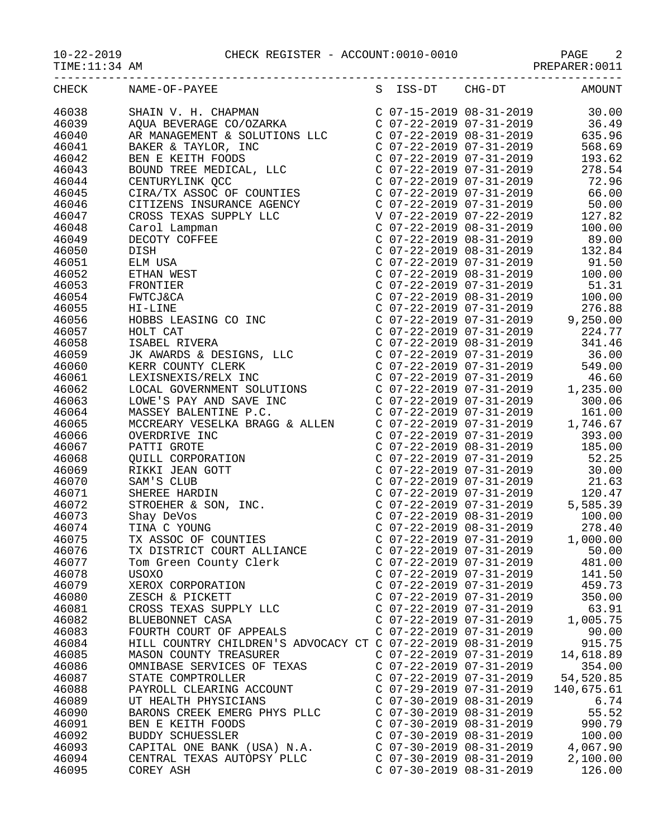10-22-2019 CHECK REGISTER - ACCOUNT:0010-0010 PAGE 2

| $10 - 22 - 2019$ |  |  |
|------------------|--|--|
|                  |  |  |

TIME:11:34 AM PREPARER:0011

TIME:11:34 AM<br>
TIME:11:34 AM<br>
PREPARER:0011<br>
CHECK NAME-OF-PAYEE S ISS-DT CHG-DT AMOUNT

| <b>CHECK</b> | NAME-OF-PAYEE                                                                                                                                                                                                                                                               | S ISS-DT                  | $CHG-DT$                                               | AMOUNT     |
|--------------|-----------------------------------------------------------------------------------------------------------------------------------------------------------------------------------------------------------------------------------------------------------------------------|---------------------------|--------------------------------------------------------|------------|
| 46038        | SHAIN V. H. CHAPMAN<br>AQUA BEVERAGE CO/OZARKA                                                                                                                                                                                                                              |                           | C 07-15-2019 08-31-2019                                | 30.00      |
| 46039        |                                                                                                                                                                                                                                                                             |                           | $C$ 07-22-2019 07-31-2019                              | 36.49      |
| 46040        | AR MANAGEMENT & SOLUTIONS LLC                                                                                                                                                                                                                                               |                           | C 07-22-2019 08-31-2019                                | 635.96     |
| 46041        | BAKER & TAYLOR, INC                                                                                                                                                                                                                                                         | $C$ 07-22-2019 07-31-2019 |                                                        | 568.69     |
| 46042        | BEN E KEITH FOODS                                                                                                                                                                                                                                                           |                           | $C$ 07-22-2019 07-31-2019                              | 193.62     |
| 46043        | BOUND TREE MEDICAL, LLC                                                                                                                                                                                                                                                     |                           | $C$ 07-22-2019 07-31-2019                              | 278.54     |
| 46044        | CENTURYLINK QCC                                                                                                                                                                                                                                                             |                           | $C$ 07-22-2019 07-31-2019                              | 72.96      |
| 46045        | CENIURILINK QCC<br>CIRA/TX ASSOC OF COUNTIES                                                                                                                                                                                                                                |                           | C 07-22-2019 07-31-2019                                | 66.00      |
| 46046        | CITIZENS INSURANCE AGENCY                                                                                                                                                                                                                                                   | $C$ 07-22-2019 07-31-2019 |                                                        | 50.00      |
| 46047        |                                                                                                                                                                                                                                                                             | V 07-22-2019 07-22-2019   |                                                        | 127.82     |
| 46048        |                                                                                                                                                                                                                                                                             |                           | $C$ 07-22-2019 08-31-2019                              | 100.00     |
| 46049        |                                                                                                                                                                                                                                                                             | $C$ 07-22-2019 08-31-2019 |                                                        | 89.00      |
| 46050        |                                                                                                                                                                                                                                                                             |                           | $C$ 07-22-2019 08-31-2019                              | 132.84     |
| 46051        |                                                                                                                                                                                                                                                                             | $C$ 07-22-2019 07-31-2019 |                                                        | 91.50      |
|              |                                                                                                                                                                                                                                                                             |                           |                                                        |            |
| 46052        |                                                                                                                                                                                                                                                                             |                           | $C$ 07-22-2019 08-31-2019                              | 100.00     |
| 46053        |                                                                                                                                                                                                                                                                             |                           | $C$ 07-22-2019 07-31-2019<br>$C$ 07-22-2019 08-31-2019 | 51.31      |
| 46054        |                                                                                                                                                                                                                                                                             |                           |                                                        | 100.00     |
| 46055        |                                                                                                                                                                                                                                                                             |                           | C 07-22-2019 07-31-2019<br>C 07-22-2019 07-31-2019 9   | 276.88     |
| 46056        |                                                                                                                                                                                                                                                                             |                           |                                                        | 9,250.00   |
| 46057        |                                                                                                                                                                                                                                                                             |                           | C 07-22-2019 07-31-2019                                | 224.77     |
| 46058        | CITIZENS INSURANCE AGENCY<br>CROSS TEXAS SUPPLY LLC<br>Carol Lampman<br>DECOTY COFFEE<br>DISH<br>ELM USA<br>ETHAN WEST<br>FRONTIER<br>FWTCJ&CA<br>HI-LINE<br>HOBBS LEASING CO INC<br>HOLT CAT<br>ISABEL RIVERA<br>JK AWARDS & DESIGNS, LLC<br>KERR COUNTY CLERK<br>LEXISNEX |                           | $C$ 07-22-2019 08-31-2019                              | 341.46     |
| 46059        |                                                                                                                                                                                                                                                                             |                           | C 07-22-2019 07-31-2019                                | 36.00      |
| 46060        |                                                                                                                                                                                                                                                                             |                           | C 07-22-2019 07-31-2019                                | 549.00     |
| 46061        | LEXISNEXIS/RELX INC<br>LEXISNEXIS/RELX INC<br>LOCAL GOVERNMENT SOLUTIONS                                                                                                                                                                                                    |                           | C 07-22-2019 07-31-2019                                | 46.60      |
| 46062        |                                                                                                                                                                                                                                                                             |                           | $C$ 07-22-2019 07-31-2019                              | 1,235.00   |
| 46063        |                                                                                                                                                                                                                                                                             |                           | $C$ 07-22-2019 07-31-2019                              | 300.06     |
| 46064        | LOWE'S PAY AND SAVE INC<br>MASSEY BALENTINE P.C.<br>MCCREARY VESELKA BRAGG & ALLEN                                                                                                                                                                                          |                           | C 07-22-2019 07-31-2019<br>C 07-22-2019 07-31-2019     | 161.00     |
| 46065        |                                                                                                                                                                                                                                                                             |                           |                                                        | 1,746.67   |
| 46066        | PICCREAKI VESELRA BRAGG & ALLEN<br>OVERDRIVE INC<br>PATTI GROTE<br>QUILL CORPORATION<br>RIKKI JEAN GOTT<br>SAM'S CLUB<br>SHEREE HARDIN<br>STROEHER & SON, INC.<br>Shay DeVos<br>TINA C YOUNG<br>TX ASSOC OF COUNTIES<br>TX DISTRICT COURT ALLIANCE<br>                      |                           | C 07-22-2019 07-31-2019                                | 393.00     |
| 46067        |                                                                                                                                                                                                                                                                             |                           | C 07-22-2019 08-31-2019                                | 185.00     |
| 46068        |                                                                                                                                                                                                                                                                             | $C$ 07-22-2019 07-31-2019 |                                                        | 52.25      |
| 46069        |                                                                                                                                                                                                                                                                             | $C$ 07-22-2019 07-31-2019 |                                                        | 30.00      |
| 46070        |                                                                                                                                                                                                                                                                             | $C$ 07-22-2019 07-31-2019 |                                                        | 21.63      |
| 46071        |                                                                                                                                                                                                                                                                             |                           | C 07-22-2019 07-31-2019                                | 120.47     |
| 46072        |                                                                                                                                                                                                                                                                             |                           | C 07-22-2019 07-31-2019                                | 5,585.39   |
| 46073        |                                                                                                                                                                                                                                                                             |                           | $C$ 07-22-2019 08-31-2019                              | 100.00     |
| 46074        |                                                                                                                                                                                                                                                                             |                           | C 07-22-2019 08-31-2019<br>C 07-22-2019 07-31-2019     | 278.40     |
| 46075        |                                                                                                                                                                                                                                                                             |                           |                                                        | 1,000.00   |
| 46076        |                                                                                                                                                                                                                                                                             | $C$ 07-22-2019 07-31-2019 |                                                        | 50.00      |
| 46077        | Tom Green County Clerk                                                                                                                                                                                                                                                      | C 07-22-2019 07-31-2019   |                                                        | 481.00     |
| 46078        | <b>USOXO</b>                                                                                                                                                                                                                                                                | $C$ 07-22-2019 07-31-2019 |                                                        | 141.50     |
| 46079        | XEROX CORPORATION                                                                                                                                                                                                                                                           | C 07-22-2019 07-31-2019   |                                                        | 459.73     |
| 46080        | ZESCH & PICKETT                                                                                                                                                                                                                                                             | $C$ 07-22-2019 07-31-2019 |                                                        | 350.00     |
| 46081        | CROSS TEXAS SUPPLY LLC                                                                                                                                                                                                                                                      | $C$ 07-22-2019 07-31-2019 |                                                        | 63.91      |
| 46082        | BLUEBONNET CASA                                                                                                                                                                                                                                                             | $C$ 07-22-2019 07-31-2019 |                                                        | 1,005.75   |
| 46083        | FOURTH COURT OF APPEALS                                                                                                                                                                                                                                                     | $C$ 07-22-2019 07-31-2019 |                                                        | 90.00      |
| 46084        | HILL COUNTRY CHILDREN'S ADVOCACY CT C 07-22-2019 08-31-2019                                                                                                                                                                                                                 |                           |                                                        | 915.75     |
| 46085        | MASON COUNTY TREASURER                                                                                                                                                                                                                                                      | C 07-22-2019 07-31-2019   |                                                        | 14,618.89  |
| 46086        | OMNIBASE SERVICES OF TEXAS                                                                                                                                                                                                                                                  | C 07-22-2019 07-31-2019   |                                                        | 354.00     |
| 46087        | STATE COMPTROLLER                                                                                                                                                                                                                                                           | $C$ 07-22-2019 07-31-2019 |                                                        | 54,520.85  |
| 46088        | PAYROLL CLEARING ACCOUNT                                                                                                                                                                                                                                                    | $C$ 07-29-2019 07-31-2019 |                                                        | 140,675.61 |
| 46089        | UT HEALTH PHYSICIANS                                                                                                                                                                                                                                                        | $C$ 07-30-2019 08-31-2019 |                                                        | 6.74       |
| 46090        | BARONS CREEK EMERG PHYS PLLC                                                                                                                                                                                                                                                | $C$ 07-30-2019 08-31-2019 |                                                        | 55.52      |
| 46091        | BEN E KEITH FOODS                                                                                                                                                                                                                                                           | $C$ 07-30-2019 08-31-2019 |                                                        | 990.79     |
| 46092        | BUDDY SCHUESSLER                                                                                                                                                                                                                                                            | $C$ 07-30-2019 08-31-2019 |                                                        | 100.00     |
| 46093        | CAPITAL ONE BANK (USA) N.A.                                                                                                                                                                                                                                                 | $C$ 07-30-2019 08-31-2019 |                                                        | 4,067.90   |
| 46094        | CENTRAL TEXAS AUTOPSY PLLC                                                                                                                                                                                                                                                  | $C$ 07-30-2019 08-31-2019 |                                                        | 2,100.00   |
| 46095        | COREY ASH                                                                                                                                                                                                                                                                   | $C$ 07-30-2019 08-31-2019 |                                                        | 126.00     |
|              |                                                                                                                                                                                                                                                                             |                           |                                                        |            |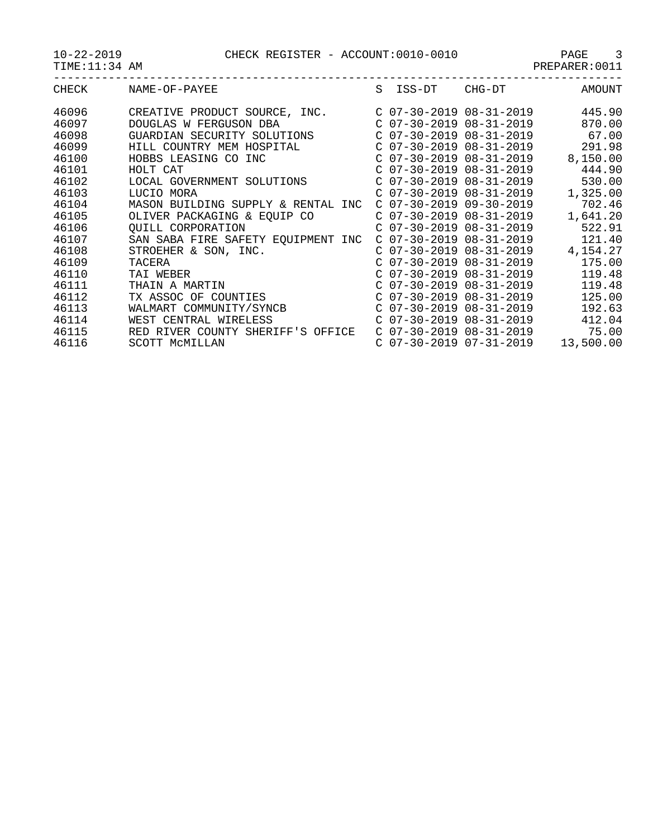10-22-2019 CHECK REGISTER - ACCOUNT:0010-0010 PAGE 3

| $-22 - 2019$ |  |
|--------------|--|
|--------------|--|

TIME:11:34 AM PREPARER:0011

| CHECK<br>NAME-OF-PAYEE                      | S | ISS-DT                    |        |           |
|---------------------------------------------|---|---------------------------|--------|-----------|
|                                             |   |                           | CHG-DT | AMOUNT    |
| 46096<br>CREATIVE PRODUCT SOURCE, INC.      |   | $C$ 07-30-2019 08-31-2019 |        | 445.90    |
| 46097<br>DOUGLAS W FERGUSON DBA             |   | $C$ 07-30-2019 08-31-2019 |        | 870.00    |
| 46098<br>GUARDIAN SECURITY SOLUTIONS        |   | $C$ 07-30-2019 08-31-2019 |        | 67.00     |
| 46099<br>HILL COUNTRY MEM HOSPITAL          |   | $C$ 07-30-2019 08-31-2019 |        | 291.98    |
| 46100<br>HOBBS LEASING CO INC               |   | $C$ 07-30-2019 08-31-2019 |        | 8,150.00  |
| 46101<br>HOLT CAT                           |   | $C$ 07-30-2019 08-31-2019 |        | 444.90    |
| 46102<br>LOCAL GOVERNMENT SOLUTIONS         |   | $C$ 07-30-2019 08-31-2019 |        | 530.00    |
| 46103<br>LUCIO MORA                         |   | $C$ 07-30-2019 08-31-2019 |        | 1,325.00  |
| 46104<br>MASON BUILDING SUPPLY & RENTAL INC |   | $C$ 07-30-2019 09-30-2019 |        | 702.46    |
| 46105<br>OLIVER PACKAGING & EQUIP CO        |   | $C$ 07-30-2019 08-31-2019 |        | 1,641.20  |
| 46106<br><b>OUILL CORPORATION</b>           |   | $C$ 07-30-2019 08-31-2019 |        | 522.91    |
| 46107<br>SAN SABA FIRE SAFETY EQUIPMENT INC |   | $C$ 07-30-2019 08-31-2019 |        | 121.40    |
| 46108<br>STROEHER & SON, INC.               |   | $C$ 07-30-2019 08-31-2019 |        | 4,154.27  |
| 46109<br>TACERA                             |   | $C$ 07-30-2019 08-31-2019 |        | 175.00    |
| 46110<br>TAI WEBER                          |   | $C$ 07-30-2019 08-31-2019 |        | 119.48    |
| 46111<br>THAIN A MARTIN                     |   | $C$ 07-30-2019 08-31-2019 |        | 119.48    |
| 46112<br>TX ASSOC OF COUNTIES               |   | $C$ 07-30-2019 08-31-2019 |        | 125.00    |
| 46113<br>WALMART COMMUNITY/SYNCB            |   | $C$ 07-30-2019 08-31-2019 |        | 192.63    |
| 46114<br>WEST CENTRAL WIRELESS              |   | $C$ 07-30-2019 08-31-2019 |        | 412.04    |
| 46115<br>RED RIVER COUNTY SHERIFF'S OFFICE  |   | $C$ 07-30-2019 08-31-2019 |        | 75.00     |
| 46116<br>SCOTT MCMILLAN                     |   | $C$ 07-30-2019 07-31-2019 |        | 13,500.00 |